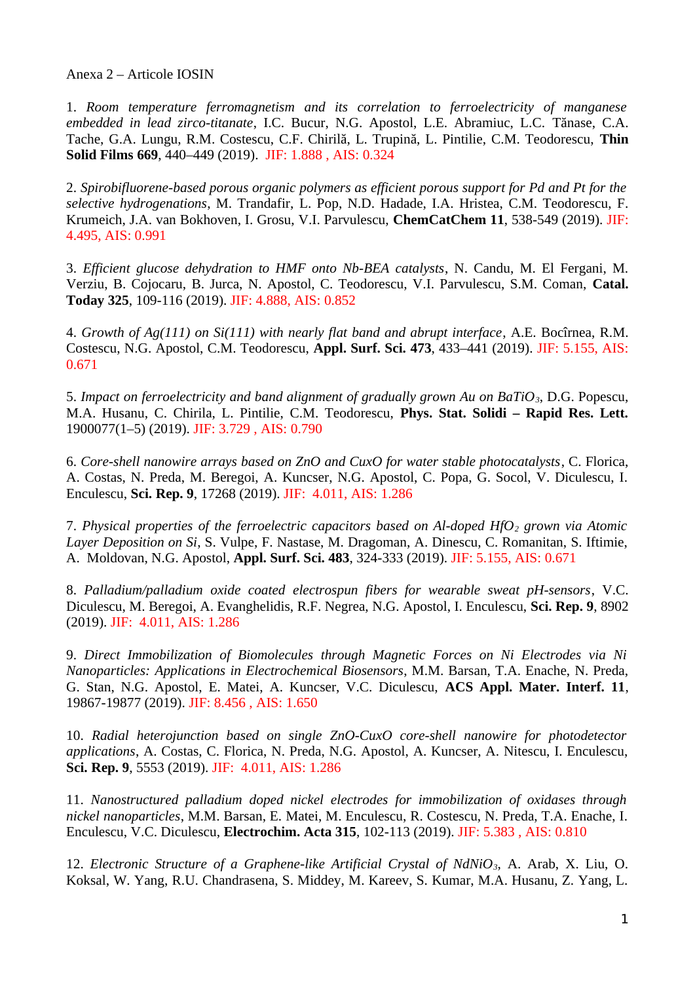Anexa 2 – Articole IOSIN

1. *Room temperature ferromagnetism and its correlation to ferroelectricity of manganese embedded in lead zirco-titanate*, I.C. Bucur, N.G. Apostol, L.E. Abramiuc, L.C. Tănase, C.A. Tache, G.A. Lungu, R.M. Costescu, C.F. Chirilă, L. Trupină, L. Pintilie, C.M. Teodorescu, **Thin Solid Films 669**, 440–449 (2019). JIF: 1.888 , AIS: 0.324

2. *Spirobifluorene-based porous organic polymers as efficient porous support for Pd and Pt for the selective hydrogenations*, M. Trandafir, L. Pop, N.D. Hadade, I.A. Hristea, C.M. Teodorescu, F. Krumeich, J.A. van Bokhoven, I. Grosu, V.I. Parvulescu, **ChemCatChem 11**, 538-549 (2019). JIF: 4.495, AIS: 0.991

3. *Efficient glucose dehydration to HMF onto Nb-BEA catalysts*, N. Candu, M. El Fergani, M. Verziu, B. Cojocaru, B. Jurca, N. Apostol, C. Teodorescu, V.I. Parvulescu, S.M. Coman, **Catal. Today 325**, 109-116 (2019). JIF: 4.888, AIS: 0.852

4. *Growth of Ag(111) on Si(111) with nearly flat band and abrupt interface*, A.E. Bocîrnea, R.M. Costescu, N.G. Apostol, C.M. Teodorescu, **Appl. Surf. Sci. 473**, 433–441 (2019). JIF: 5.155, AIS: 0.671

5. *Impact on ferroelectricity and band alignment of gradually grown Au on BaTiO3*, D.G. Popescu, M.A. Husanu, C. Chirila, L. Pintilie, C.M. Teodorescu, **Phys. Stat. Solidi – Rapid Res. Lett.** 1900077(1–5) (2019). JIF: 3.729 , AIS: 0.790

6. *Core-shell nanowire arrays based on ZnO and CuxO for water stable photocatalysts*, C. Florica, A. Costas, N. Preda, M. Beregoi, A. Kuncser, N.G. Apostol, C. Popa, G. Socol, V. Diculescu, I. Enculescu, **Sci. Rep. 9**, 17268 (2019). JIF: 4.011, AIS: 1.286

7. *Physical properties of the ferroelectric capacitors based on Al-doped HfO2 grown via Atomic Layer Deposition on Si*, S. Vulpe, F. Nastase, M. Dragoman, A. Dinescu, C. Romanitan, S. Iftimie, A. Moldovan, N.G. Apostol, **Appl. Surf. Sci. 483**, 324-333 (2019). JIF: 5.155, AIS: 0.671

8. *Palladium/palladium oxide coated electrospun fibers for wearable sweat pH-sensors*, V.C. Diculescu, M. Beregoi, A. Evanghelidis, R.F. Negrea, N.G. Apostol, I. Enculescu, **Sci. Rep. 9**, 8902 (2019). JIF: 4.011, AIS: 1.286

9. *Direct Immobilization of Biomolecules through Magnetic Forces on Ni Electrodes via Ni Nanoparticles: Applications in Electrochemical Biosensors*, M.M. Barsan, T.A. Enache, N. Preda, G. Stan, N.G. Apostol, E. Matei, A. Kuncser, V.C. Diculescu, **ACS Appl. Mater. Interf. 11**, 19867-19877 (2019). JIF: 8.456 , AIS: 1.650

10. *Radial heterojunction based on single ZnO-CuxO core-shell nanowire for photodetector applications*, A. Costas, C. Florica, N. Preda, N.G. Apostol, A. Kuncser, A. Nitescu, I. Enculescu, **Sci. Rep. 9**, 5553 (2019). JIF: 4.011, AIS: 1.286

11. *Nanostructured palladium doped nickel electrodes for immobilization of oxidases through nickel nanoparticles*, M.M. Barsan, E. Matei, M. Enculescu, R. Costescu, N. Preda, T.A. Enache, I. Enculescu, V.C. Diculescu, **Electrochim. Acta 315**, 102-113 (2019). JIF: 5.383 , AIS: 0.810

12. *Electronic Structure of a Graphene-like Artificial Crystal of NdNiO3*, A. Arab, X. Liu, O. Koksal, W. Yang, R.U. Chandrasena, S. Middey, M. Kareev, S. Kumar, M.A. Husanu, Z. Yang, L.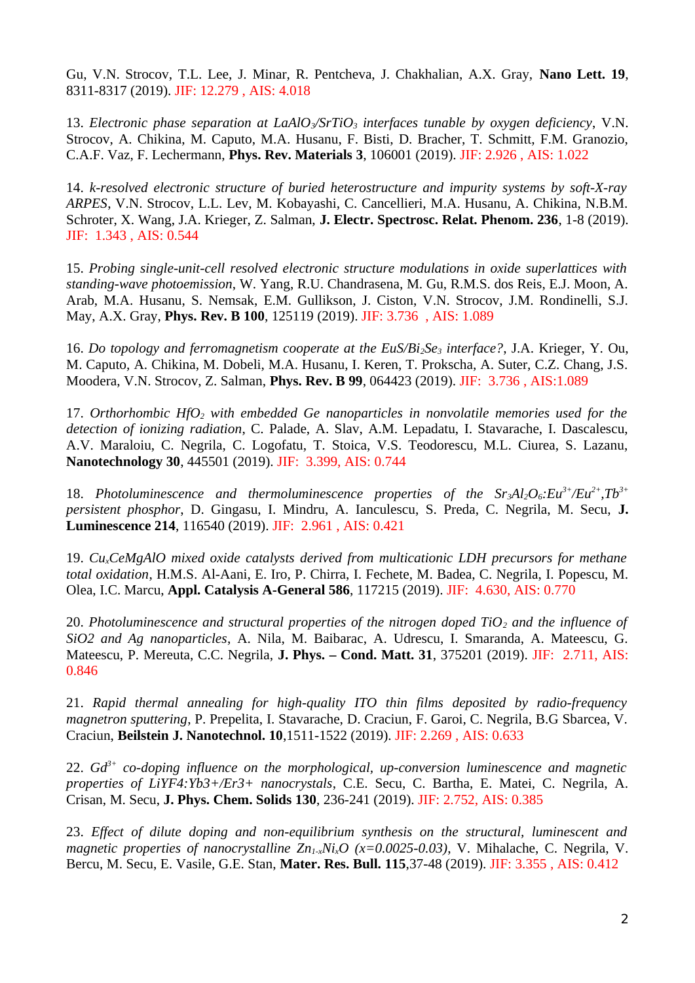Gu, V.N. Strocov, T.L. Lee, J. Minar, R. Pentcheva, J. Chakhalian, A.X. Gray, **Nano Lett. 19**, 8311-8317 (2019). JIF: 12.279 , AIS: 4.018

13. *Electronic phase separation at LaAlO<sub>2</sub>*/SrTiO<sub>3</sub> *interfaces tunable by oxygen deficiency, V.N.* Strocov, A. Chikina, M. Caputo, M.A. Husanu, F. Bisti, D. Bracher, T. Schmitt, F.M. Granozio, C.A.F. Vaz, F. Lechermann, **Phys. Rev. Materials 3**, 106001 (2019). JIF: 2.926 , AIS: 1.022

14. *k-resolved electronic structure of buried heterostructure and impurity systems by soft-X-ray ARPES*, V.N. Strocov, L.L. Lev, M. Kobayashi, C. Cancellieri, M.A. Husanu, A. Chikina, N.B.M. Schroter, X. Wang, J.A. Krieger, Z. Salman, **J. Electr. Spectrosc. Relat. Phenom. 236**, 1-8 (2019). JIF: 1.343 , AIS: 0.544

15. *Probing single-unit-cell resolved electronic structure modulations in oxide superlattices with standing-wave photoemission*, W. Yang, R.U. Chandrasena, M. Gu, R.M.S. dos Reis, E.J. Moon, A. Arab, M.A. Husanu, S. Nemsak, E.M. Gullikson, J. Ciston, V.N. Strocov, J.M. Rondinelli, S.J. May, A.X. Gray, **Phys. Rev. B 100**, 125119 (2019). JIF: 3.736 , AIS: 1.089

16. *Do topology and ferromagnetism cooperate at the EuS/Bi2Se3 interface?*, J.A. Krieger, Y. Ou, M. Caputo, A. Chikina, M. Dobeli, M.A. Husanu, I. Keren, T. Prokscha, A. Suter, C.Z. Chang, J.S. Moodera, V.N. Strocov, Z. Salman, **Phys. Rev. B 99**, 064423 (2019). JIF: 3.736 , AIS:1.089

17. *Orthorhombic HfO2 with embedded Ge nanoparticles in nonvolatile memories used for the detection of ionizing radiation*, C. Palade, A. Slav, A.M. Lepadatu, I. Stavarache, I. Dascalescu, A.V. Maraloiu, C. Negrila, C. Logofatu, T. Stoica, V.S. Teodorescu, M.L. Ciurea, S. Lazanu, **Nanotechnology 30**, 445501 (2019). JIF: 3.399, AIS: 0.744

18. *Photoluminescence and thermoluminescence properties of the Sr3Al2O6:Eu3+/Eu2+,Tb3+ persistent phosphor*, D. Gingasu, I. Mindru, A. Ianculescu, S. Preda, C. Negrila, M. Secu, **J. Luminescence 214**, 116540 (2019). JIF: 2.961 , AIS: 0.421

19. *CuxCeMgAlO mixed oxide catalysts derived from multicationic LDH precursors for methane total oxidation*, H.M.S. Al-Aani, E. Iro, P. Chirra, I. Fechete, M. Badea, C. Negrila, I. Popescu, M. Olea, I.C. Marcu, **Appl. Catalysis A-General 586**, 117215 (2019). JIF: 4.630, AIS: 0.770

20. *Photoluminescence and structural properties of the nitrogen doped TiO2 and the influence of SiO2 and Ag nanoparticles*, A. Nila, M. Baibarac, A. Udrescu, I. Smaranda, A. Mateescu, G. Mateescu, P. Mereuta, C.C. Negrila, **J. Phys. – Cond. Matt. 31**, 375201 (2019). JIF: 2.711, AIS: 0.846

21. *Rapid thermal annealing for high-quality ITO thin films deposited by radio-frequency magnetron sputtering*, P. Prepelita, I. Stavarache, D. Craciun, F. Garoi, C. Negrila, B.G Sbarcea, V. Craciun, **Beilstein J. Nanotechnol. 10**,1511-1522 (2019). JIF: 2.269 , AIS: 0.633

22. *Gd3+ co-doping influence on the morphological, up-conversion luminescence and magnetic properties of LiYF4:Yb3+/Er3+ nanocrystals*, C.E. Secu, C. Bartha, E. Matei, C. Negrila, A. Crisan, M. Secu, **J. Phys. Chem. Solids 130**, 236-241 (2019). JIF: 2.752, AIS: 0.385

23. *Effect of dilute doping and non-equilibrium synthesis on the structural, luminescent and magnetic properties of nanocrystalline Zn1-xNixO (x=0.0025-0.03)*, V. Mihalache, C. Negrila, V. Bercu, M. Secu, E. Vasile, G.E. Stan, **Mater. Res. Bull. 115**,37-48 (2019). JIF: 3.355 , AIS: 0.412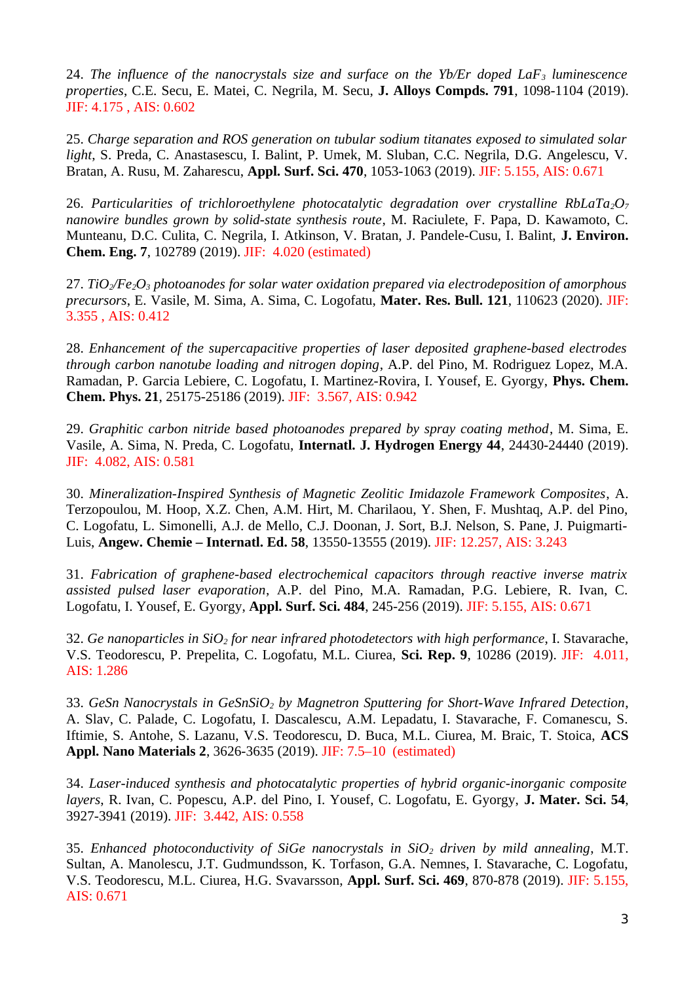24. *The influence of the nanocrystals size and surface on the Yb/Er doped LaF3 luminescence properties*, C.E. Secu, E. Matei, C. Negrila, M. Secu, **J. Alloys Compds. 791**, 1098-1104 (2019). JIF: 4.175 , AIS: 0.602

25. *Charge separation and ROS generation on tubular sodium titanates exposed to simulated solar light*, S. Preda, C. Anastasescu, I. Balint, P. Umek, M. Sluban, C.C. Negrila, D.G. Angelescu, V. Bratan, A. Rusu, M. Zaharescu, **Appl. Surf. Sci. 470**, 1053-1063 (2019). JIF: 5.155, AIS: 0.671

26. *Particularities of trichloroethylene photocatalytic degradation over crystalline RbLaTa2O<sup>7</sup> nanowire bundles grown by solid-state synthesis route*, M. Raciulete, F. Papa, D. Kawamoto, C. Munteanu, D.C. Culita, C. Negrila, I. Atkinson, V. Bratan, J. Pandele-Cusu, I. Balint, **J. Environ. Chem. Eng. 7**, 102789 (2019). JIF: 4.020 (estimated)

27. *TiO2/Fe2O3 photoanodes for solar water oxidation prepared via electrodeposition of amorphous precursors*, E. Vasile, M. Sima, A. Sima, C. Logofatu, **Mater. Res. Bull. 121**, 110623 (2020). JIF: 3.355 , AIS: 0.412

28. *Enhancement of the supercapacitive properties of laser deposited graphene-based electrodes through carbon nanotube loading and nitrogen doping*, A.P. del Pino, M. Rodriguez Lopez, M.A. Ramadan, P. Garcia Lebiere, C. Logofatu, I. Martinez-Rovira, I. Yousef, E. Gyorgy, **Phys. Chem. Chem. Phys. 21**, 25175-25186 (2019). JIF: 3.567, AIS: 0.942

29. *Graphitic carbon nitride based photoanodes prepared by spray coating method*, M. Sima, E. Vasile, A. Sima, N. Preda, C. Logofatu, **Internatl. J. Hydrogen Energy 44**, 24430-24440 (2019). JIF: 4.082, AIS: 0.581

30. *Mineralization-Inspired Synthesis of Magnetic Zeolitic Imidazole Framework Composites*, A. Terzopoulou, M. Hoop, X.Z. Chen, A.M. Hirt, M. Charilaou, Y. Shen, F. Mushtaq, A.P. del Pino, C. Logofatu, L. Simonelli, A.J. de Mello, C.J. Doonan, J. Sort, B.J. Nelson, S. Pane, J. Puigmarti-Luis, **Angew. Chemie – Internatl. Ed. 58**, 13550-13555 (2019). JIF: 12.257, AIS: 3.243

31. *Fabrication of graphene-based electrochemical capacitors through reactive inverse matrix assisted pulsed laser evaporation*, A.P. del Pino, M.A. Ramadan, P.G. Lebiere, R. Ivan, C. Logofatu, I. Yousef, E. Gyorgy, **Appl. Surf. Sci. 484**, 245-256 (2019). JIF: 5.155, AIS: 0.671

32. *Ge nanoparticles in SiO2 for near infrared photodetectors with high performance*, I. Stavarache, V.S. Teodorescu, P. Prepelita, C. Logofatu, M.L. Ciurea, **Sci. Rep. 9**, 10286 (2019). JIF: 4.011, AIS: 1.286

33. *GeSn Nanocrystals in GeSnSiO2 by Magnetron Sputtering for Short-Wave Infrared Detection*, A. Slav, C. Palade, C. Logofatu, I. Dascalescu, A.M. Lepadatu, I. Stavarache, F. Comanescu, S. Iftimie, S. Antohe, S. Lazanu, V.S. Teodorescu, D. Buca, M.L. Ciurea, M. Braic, T. Stoica, **ACS Appl. Nano Materials 2**, 3626-3635 (2019). JIF: 7.5–10 (estimated)

34. *Laser-induced synthesis and photocatalytic properties of hybrid organic-inorganic composite layers*, R. Ivan, C. Popescu, A.P. del Pino, I. Yousef, C. Logofatu, E. Gyorgy, **J. Mater. Sci. 54**, 3927-3941 (2019). JIF: 3.442, AIS: 0.558

35. *Enhanced photoconductivity of SiGe nanocrystals in SiO2 driven by mild annealing*, M.T. Sultan, A. Manolescu, J.T. Gudmundsson, K. Torfason, G.A. Nemnes, I. Stavarache, C. Logofatu, V.S. Teodorescu, M.L. Ciurea, H.G. Svavarsson, **Appl. Surf. Sci. 469**, 870-878 (2019). JIF: 5.155, AIS: 0.671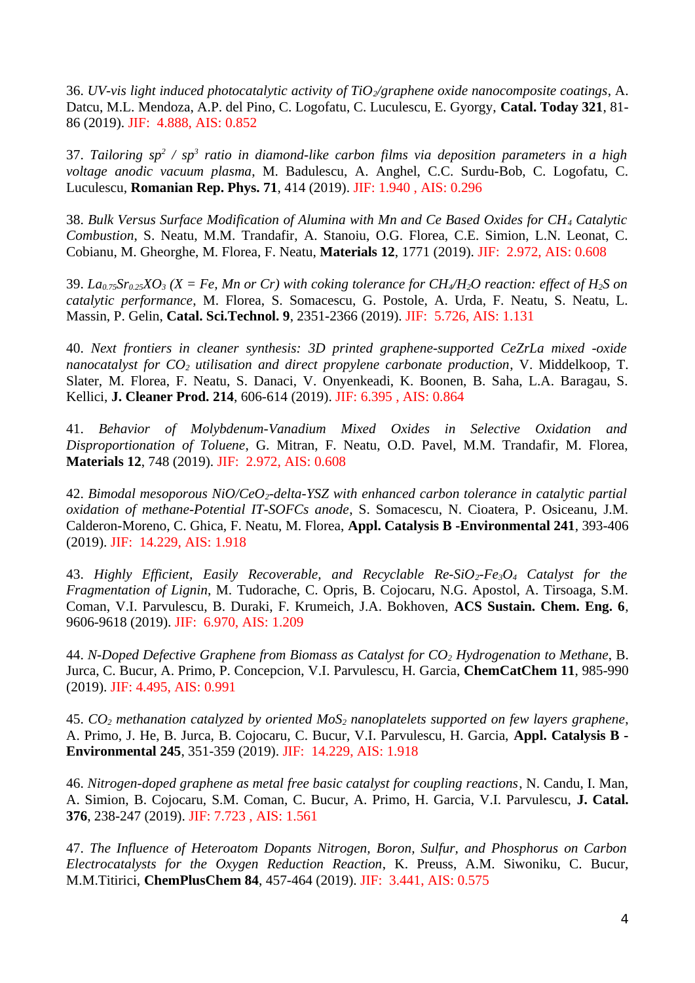36. *UV-vis light induced photocatalytic activity of TiO2/graphene oxide nanocomposite coatings*, A. Datcu, M.L. Mendoza, A.P. del Pino, C. Logofatu, C. Luculescu, E. Gyorgy, **Catal. Today 321**, 81- 86 (2019). JIF: 4.888, AIS: 0.852

37. *Tailoring sp<sup>2</sup> / sp<sup>3</sup> ratio in diamond-like carbon films via deposition parameters in a high voltage anodic vacuum plasma*, M. Badulescu, A. Anghel, C.C. Surdu-Bob, C. Logofatu, C. Luculescu, **Romanian Rep. Phys. 71**, 414 (2019). JIF: 1.940 , AIS: 0.296

38. *Bulk Versus Surface Modification of Alumina with Mn and Ce Based Oxides for CH4 Catalytic Combustion*, S. Neatu, M.M. Trandafir, A. Stanoiu, O.G. Florea, C.E. Simion, L.N. Leonat, C. Cobianu, M. Gheorghe, M. Florea, F. Neatu, **Materials 12**, 1771 (2019). JIF: 2.972, AIS: 0.608

39. *La0.75Sr0.25XO<sup>3</sup> (X = Fe, Mn or Cr) with coking tolerance for CH4/H2O reaction: effect of H2S on catalytic performance*, M. Florea, S. Somacescu, G. Postole, A. Urda, F. Neatu, S. Neatu, L. Massin, P. Gelin, **Catal. Sci.Technol. 9**, 2351-2366 (2019). JIF: 5.726, AIS: 1.131

40. *Next frontiers in cleaner synthesis: 3D printed graphene-supported CeZrLa mixed -oxide nanocatalyst for CO2 utilisation and direct propylene carbonate production*, V. Middelkoop, T. Slater, M. Florea, F. Neatu, S. Danaci, V. Onyenkeadi, K. Boonen, B. Saha, L.A. Baragau, S. Kellici, **J. Cleaner Prod. 214**, 606-614 (2019). JIF: 6.395 , AIS: 0.864

41. *Behavior of Molybdenum-Vanadium Mixed Oxides in Selective Oxidation and Disproportionation of Toluene*, G. Mitran, F. Neatu, O.D. Pavel, M.M. Trandafir, M. Florea, **Materials 12**, 748 (2019). JIF: 2.972, AIS: 0.608

42. *Bimodal mesoporous NiO/CeO2-delta-YSZ with enhanced carbon tolerance in catalytic partial oxidation of methane-Potential IT-SOFCs anode*, S. Somacescu, N. Cioatera, P. Osiceanu, J.M. Calderon-Moreno, C. Ghica, F. Neatu, M. Florea, **Appl. Catalysis B -Environmental 241**, 393-406 (2019). JIF: 14.229, AIS: 1.918

43. *Highly Efficient, Easily Recoverable, and Recyclable Re-SiO2-Fe3O4 Catalyst for the Fragmentation of Lignin*, M. Tudorache, C. Opris, B. Cojocaru, N.G. Apostol, A. Tirsoaga, S.M. Coman, V.I. Parvulescu, B. Duraki, F. Krumeich, J.A. Bokhoven, **ACS Sustain. Chem. Eng. 6**, 9606-9618 (2019). JIF: 6.970, AIS: 1.209

44. *[N‐Doped Defective Graphene from Biomass as Catalyst for CO](https://apps.webofknowledge.com/full_record.do?product=WOS&search_mode=GeneralSearch&qid=6&SID=E4ysMcKlZCAh3RQmvNB&page=2&doc=12&cacheurlFromRightClick=no)2 Hydrogenation to Methane*, B. Jurca, C. Bucur, A. Primo, P. Concepcion, V.I. Parvulescu, H. Garcia, **ChemCatChem 11**, 985-990 (2019). JIF: 4.495, AIS: 0.991

45. *CO2 methanation catalyzed by oriented MoS2 nanoplatelets supported on few layers graphene*, A. Primo, J. He, B. Jurca, B. Cojocaru, C. Bucur, V.I. Parvulescu, H. Garcia, **Appl. Catalysis B - Environmental 245**, 351-359 (2019). JIF: 14.229, AIS: 1.918

46. *Nitrogen-doped graphene as metal free basic catalyst for coupling reactions*, N. Candu, I. Man, A. Simion, B. Cojocaru, S.M. Coman, C. Bucur, A. Primo, H. Garcia, V.I. Parvulescu, **J. Catal. 376**, 238-247 (2019). JIF: 7.723 , AIS: 1.561

47. *The Influence of Heteroatom Dopants Nitrogen, Boron, Sulfur, and Phosphorus on Carbon Electrocatalysts for the Oxygen Reduction Reaction*, K. Preuss, A.M. Siwoniku, C. Bucur, M.M.Titirici, **ChemPlusChem 84**, 457-464 (2019). JIF: 3.441, AIS: 0.575